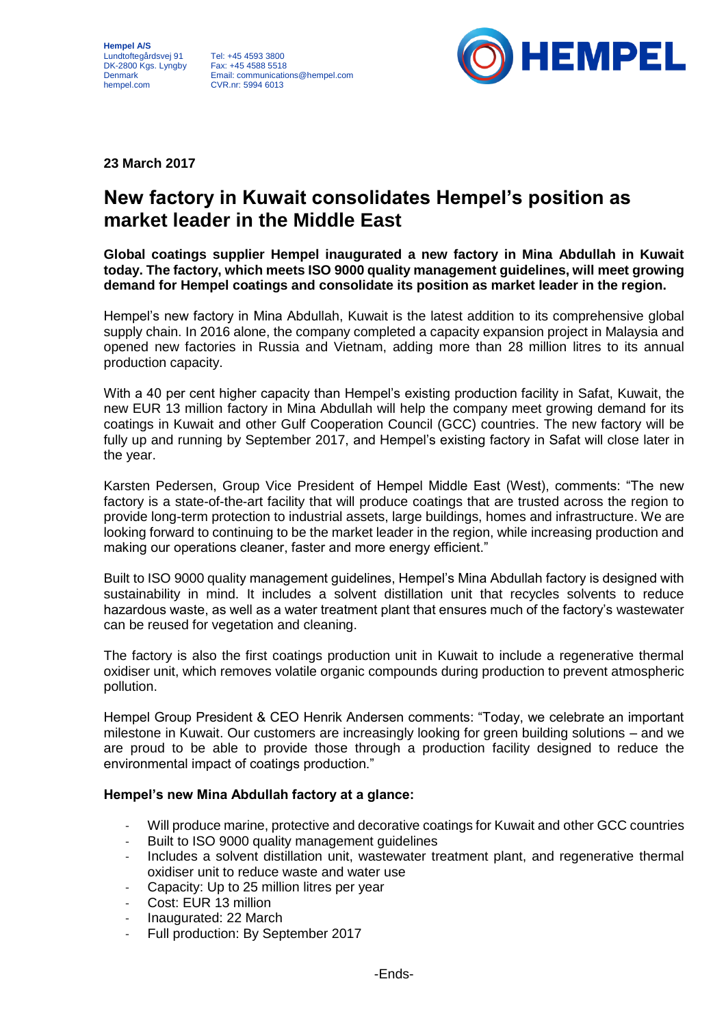**Hempel A/S** Lundtoftegårdsvej 91 DK-2800 Kgs. Lyngby Fax: +45 4588 5518 Denmark hempel.com

Tel: +45 4593 3800 Email: communications@hempel.com CVR.nr: 5994 6013



**23 March 2017**

## **New factory in Kuwait consolidates Hempel's position as market leader in the Middle East**

**Global coatings supplier Hempel inaugurated a new factory in Mina Abdullah in Kuwait today. The factory, which meets ISO 9000 quality management guidelines, will meet growing demand for Hempel coatings and consolidate its position as market leader in the region.**

Hempel's new factory in Mina Abdullah, Kuwait is the latest addition to its comprehensive global supply chain. In 2016 alone, the company completed a capacity expansion project in Malaysia and opened new factories in Russia and Vietnam, adding more than 28 million litres to its annual production capacity.

With a 40 per cent higher capacity than Hempel's existing production facility in Safat, Kuwait, the new EUR 13 million factory in Mina Abdullah will help the company meet growing demand for its coatings in Kuwait and other Gulf Cooperation Council (GCC) countries. The new factory will be fully up and running by September 2017, and Hempel's existing factory in Safat will close later in the year.

Karsten Pedersen, Group Vice President of Hempel Middle East (West), comments: "The new factory is a state-of-the-art facility that will produce coatings that are trusted across the region to provide long-term protection to industrial assets, large buildings, homes and infrastructure. We are looking forward to continuing to be the market leader in the region, while increasing production and making our operations cleaner, faster and more energy efficient."

Built to ISO 9000 quality management guidelines, Hempel's Mina Abdullah factory is designed with sustainability in mind. It includes a solvent distillation unit that recycles solvents to reduce hazardous waste, as well as a water treatment plant that ensures much of the factory's wastewater can be reused for vegetation and cleaning.

The factory is also the first coatings production unit in Kuwait to include a regenerative thermal oxidiser unit, which removes volatile organic compounds during production to prevent atmospheric pollution.

Hempel Group President & CEO Henrik Andersen comments: "Today, we celebrate an important milestone in Kuwait. Our customers are increasingly looking for green building solutions – and we are proud to be able to provide those through a production facility designed to reduce the environmental impact of coatings production."

## **Hempel's new Mina Abdullah factory at a glance:**

- Will produce marine, protective and decorative coatings for Kuwait and other GCC countries
- Built to ISO 9000 quality management guidelines
- Includes a solvent distillation unit, wastewater treatment plant, and regenerative thermal oxidiser unit to reduce waste and water use
- Capacity: Up to 25 million litres per year
- Cost: EUR 13 million
- Inaugurated: 22 March
- Full production: By September 2017